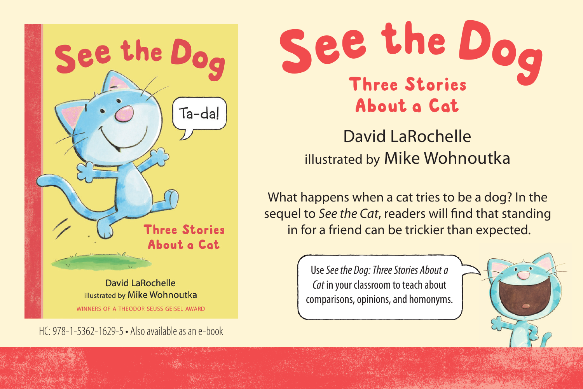

HC: 978-1-5362-1629-5 • Also available as an e-book



David LaRochelle illustrated by Mike Wohnoutka

What happens when a cat tries to be a dog? In the sequel to *See the Cat*, readers will find that standing in for a friend can be trickier than expected.

> Use *See the Dog: Three Stories About a Cat* in your classroom to teach about comparisons, opinions, and homonyms.